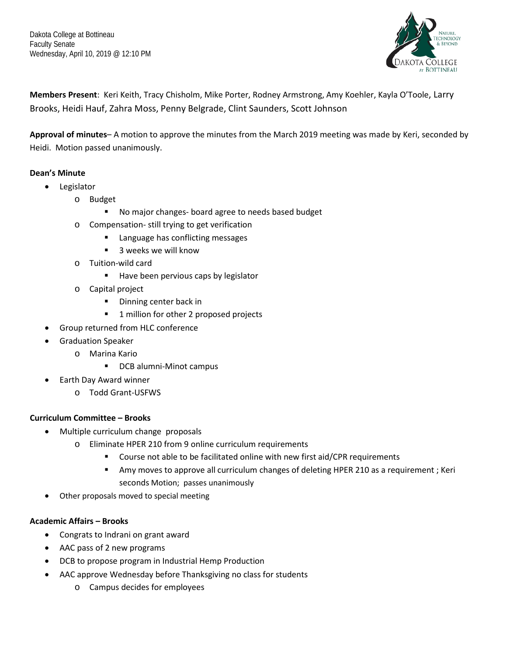

**Members Present**: Keri Keith, Tracy Chisholm, Mike Porter, Rodney Armstrong, Amy Koehler, Kayla O'Toole, Larry Brooks, Heidi Hauf, Zahra Moss, Penny Belgrade, Clint Saunders, Scott Johnson

**Approval of minutes**– A motion to approve the minutes from the March 2019 meeting was made by Keri, seconded by Heidi. Motion passed unanimously.

# **Dean's Minute**

- **Legislator** 
	- o Budget
		- No major changes- board agree to needs based budget
	- o Compensation- still trying to get verification
		- Language has conflicting messages
		- 3 weeks we will know
	- o Tuition-wild card
		- Have been pervious caps by legislator
	- o Capital project
		- **Dinning center back in**
		- 1 million for other 2 proposed projects
- Group returned from HLC conference
- Graduation Speaker
	- o Marina Kario
		- DCB alumni-Minot campus
- Earth Day Award winner
	- o Todd Grant-USFWS

# **Curriculum Committee – Brooks**

- Multiple curriculum change proposals
	- o Eliminate HPER 210 from 9 online curriculum requirements
		- Course not able to be facilitated online with new first aid/CPR requirements
		- Amy moves to approve all curriculum changes of deleting HPER 210 as a requirement ; Keri seconds Motion; passes unanimously
- Other proposals moved to special meeting

# **Academic Affairs – Brooks**

- Congrats to Indrani on grant award
- AAC pass of 2 new programs
- DCB to propose program in Industrial Hemp Production
- AAC approve Wednesday before Thanksgiving no class for students
	- o Campus decides for employees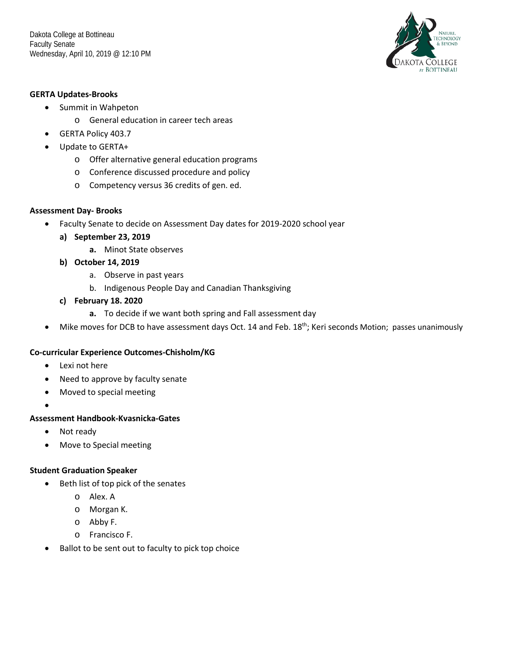Dakota College at Bottineau Faculty Senate Wednesday, April 10, 2019 @ 12:10 PM



#### **GERTA Updates-Brooks**

- Summit in Wahpeton
	- o General education in career tech areas
- GERTA Policy 403.7
- Update to GERTA+
	- o Offer alternative general education programs
	- o Conference discussed procedure and policy
	- o Competency versus 36 credits of gen. ed.

#### **Assessment Day- Brooks**

- Faculty Senate to decide on Assessment Day dates for 2019-2020 school year
	- **a) September 23, 2019**
		- **a.** Minot State observes
	- **b) October 14, 2019**
		- a. Observe in past years
		- b. Indigenous People Day and Canadian Thanksgiving
	- **c) February 18. 2020**
		- **a.** To decide if we want both spring and Fall assessment day
- Mike moves for DCB to have assessment days Oct. 14 and Feb. 18<sup>th</sup>; Keri seconds Motion; passes unanimously

#### **Co-curricular Experience Outcomes-Chisholm/KG**

- Lexi not here
- Need to approve by faculty senate
- Moved to special meeting
- •

#### **Assessment Handbook-Kvasnicka-Gates**

- Not ready
- Move to Special meeting

#### **Student Graduation Speaker**

- Beth list of top pick of the senates
	- o Alex. A
	- o Morgan K.
	- o Abby F.
	- o Francisco F.
- Ballot to be sent out to faculty to pick top choice